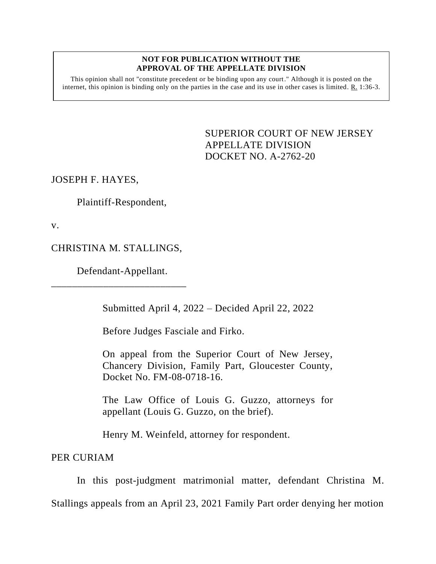## **NOT FOR PUBLICATION WITHOUT THE APPROVAL OF THE APPELLATE DIVISION**

This opinion shall not "constitute precedent or be binding upon any court." Although it is posted on the internet, this opinion is binding only on the parties in the case and its use in other cases is limited. R. 1:36-3.

> <span id="page-0-0"></span>SUPERIOR COURT OF NEW JERSEY APPELLATE DIVISION DOCKET NO. A-2762-20

JOSEPH F. HAYES,

Plaintiff-Respondent,

v.

CHRISTINA M. STALLINGS,

Defendant-Appellant.

\_\_\_\_\_\_\_\_\_\_\_\_\_\_\_\_\_\_\_\_\_\_\_\_\_\_

Submitted April 4, 2022 – Decided April 22, 2022

Before Judges Fasciale and Firko.

On appeal from the Superior Court of New Jersey, Chancery Division, Family Part, Gloucester County, Docket No. FM-08-0718-16.

The Law Office of Louis G. Guzzo, attorneys for appellant (Louis G. Guzzo, on the brief).

Henry M. Weinfeld, attorney for respondent.

PER CURIAM

In this post-judgment matrimonial matter, defendant Christina M. Stallings appeals from an April 23, 2021 Family Part order denying her motion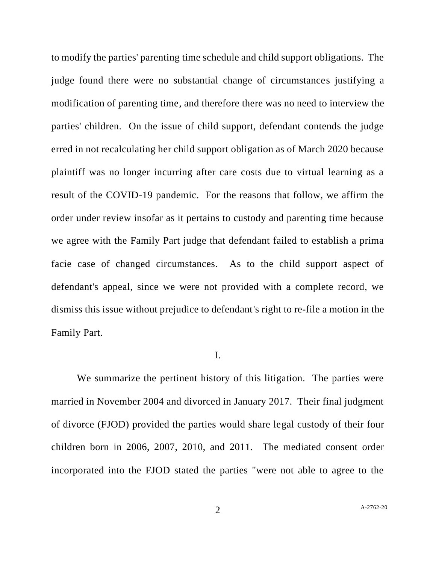to modify the parties' parenting time schedule and child support obligations. The judge found there were no substantial change of circumstances justifying a modification of parenting time, and therefore there was no need to interview the parties' children. On the issue of child support, defendant contends the judge erred in not recalculating her child support obligation as of March 2020 because plaintiff was no longer incurring after care costs due to virtual learning as a result of the COVID-19 pandemic. For the reasons that follow, we affirm the order under review insofar as it pertains to custody and parenting time because we agree with the Family Part judge that defendant failed to establish a prima facie case of changed circumstances. As to the child support aspect of defendant's appeal, since we were not provided with a complete record, we dismiss this issue without prejudice to defendant's right to re-file a motion in the Family Part.

## I.

We summarize the pertinent history of this litigation. The parties were married in November 2004 and divorced in January 2017. Their final judgment of divorce (FJOD) provided the parties would share legal custody of their four children born in 2006, 2007, 2010, and 2011. The mediated consent order incorporated into the FJOD stated the parties "were not able to agree to the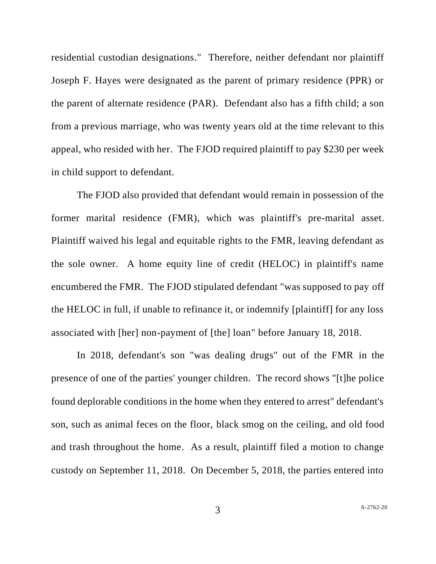residential custodian designations." Therefore, neither defendant nor plaintiff Joseph F. Hayes were designated as the parent of primary residence (PPR) or the parent of alternate residence (PAR). Defendant also has a fifth child; a son from a previous marriage, who was twenty years old at the time relevant to this appeal, who resided with her. The FJOD required plaintiff to pay \$230 per week in child support to defendant.

The FJOD also provided that defendant would remain in possession of the former marital residence (FMR), which was plaintiff's pre-marital asset. Plaintiff waived his legal and equitable rights to the FMR, leaving defendant as the sole owner. A home equity line of credit (HELOC) in plaintiff's name encumbered the FMR. The FJOD stipulated defendant "was supposed to pay off the HELOC in full, if unable to refinance it, or indemnify [plaintiff] for any loss associated with [her] non-payment of [the] loan" before January 18, 2018.

In 2018, defendant's son "was dealing drugs" out of the FMR in the presence of one of the parties' younger children. The record shows "[t]he police found deplorable conditions in the home when they entered to arrest" defendant's son, such as animal feces on the floor, black smog on the ceiling, and old food and trash throughout the home. As a result, plaintiff filed a motion to change custody on September 11, 2018. On December 5, 2018, the parties entered into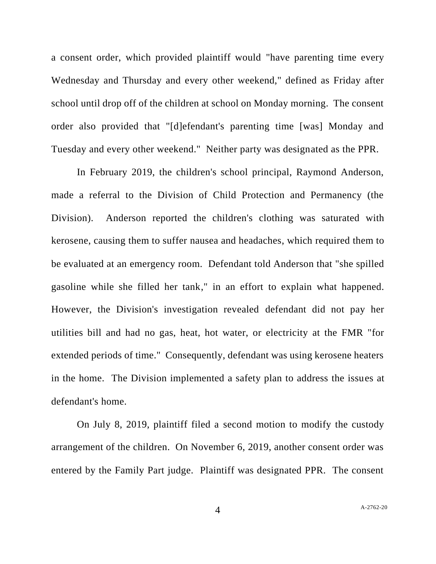a consent order, which provided plaintiff would "have parenting time every Wednesday and Thursday and every other weekend," defined as Friday after school until drop off of the children at school on Monday morning. The consent order also provided that "[d]efendant's parenting time [was] Monday and Tuesday and every other weekend." Neither party was designated as the PPR.

In February 2019, the children's school principal, Raymond Anderson, made a referral to the Division of Child Protection and Permanency (the Division). Anderson reported the children's clothing was saturated with kerosene, causing them to suffer nausea and headaches, which required them to be evaluated at an emergency room. Defendant told Anderson that "she spilled gasoline while she filled her tank," in an effort to explain what happened. However, the Division's investigation revealed defendant did not pay her utilities bill and had no gas, heat, hot water, or electricity at the FMR "for extended periods of time." Consequently, defendant was using kerosene heaters in the home. The Division implemented a safety plan to address the issues at defendant's home.

On July 8, 2019, plaintiff filed a second motion to modify the custody arrangement of the children. On November 6, 2019, another consent order was entered by the Family Part judge. Plaintiff was designated PPR. The consent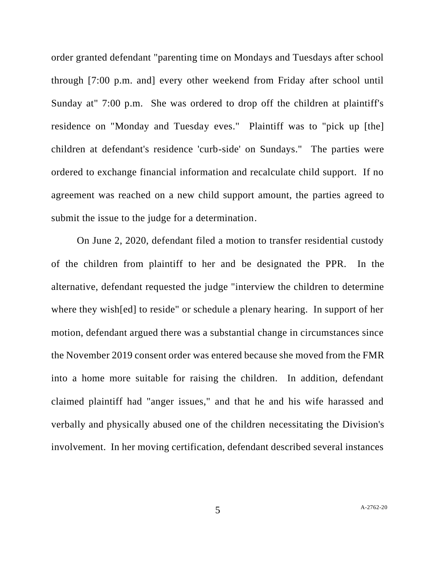order granted defendant "parenting time on Mondays and Tuesdays after school through [7:00 p.m. and] every other weekend from Friday after school until Sunday at" 7:00 p.m. She was ordered to drop off the children at plaintiff's residence on "Monday and Tuesday eves." Plaintiff was to "pick up [the] children at defendant's residence 'curb-side' on Sundays." The parties were ordered to exchange financial information and recalculate child support. If no agreement was reached on a new child support amount, the parties agreed to submit the issue to the judge for a determination.

On June 2, 2020, defendant filed a motion to transfer residential custody of the children from plaintiff to her and be designated the PPR. In the alternative, defendant requested the judge "interview the children to determine where they wish[ed] to reside" or schedule a plenary hearing. In support of her motion, defendant argued there was a substantial change in circumstances since the November 2019 consent order was entered because she moved from the FMR into a home more suitable for raising the children. In addition, defendant claimed plaintiff had "anger issues," and that he and his wife harassed and verbally and physically abused one of the children necessitating the Division's involvement. In her moving certification, defendant described several instances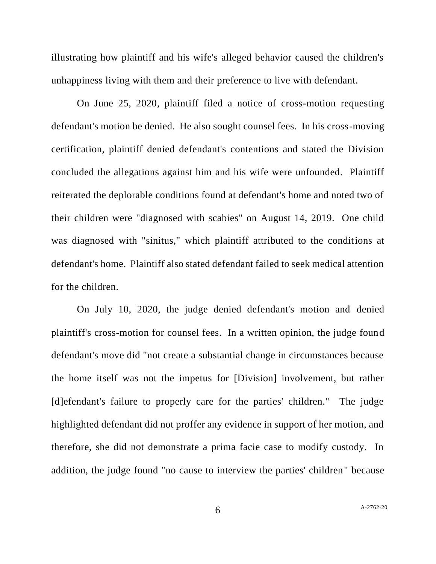illustrating how plaintiff and his wife's alleged behavior caused the children's unhappiness living with them and their preference to live with defendant.

On June 25, 2020, plaintiff filed a notice of cross-motion requesting defendant's motion be denied. He also sought counsel fees. In his cross-moving certification, plaintiff denied defendant's contentions and stated the Division concluded the allegations against him and his wife were unfounded. Plaintiff reiterated the deplorable conditions found at defendant's home and noted two of their children were "diagnosed with scabies" on August 14, 2019. One child was diagnosed with "sinitus," which plaintiff attributed to the conditions at defendant's home. Plaintiff also stated defendant failed to seek medical attention for the children.

On July 10, 2020, the judge denied defendant's motion and denied plaintiff's cross-motion for counsel fees. In a written opinion, the judge found defendant's move did "not create a substantial change in circumstances because the home itself was not the impetus for [Division] involvement, but rather [d]efendant's failure to properly care for the parties' children." The judge highlighted defendant did not proffer any evidence in support of her motion, and therefore, she did not demonstrate a prima facie case to modify custody. In addition, the judge found "no cause to interview the parties' children" because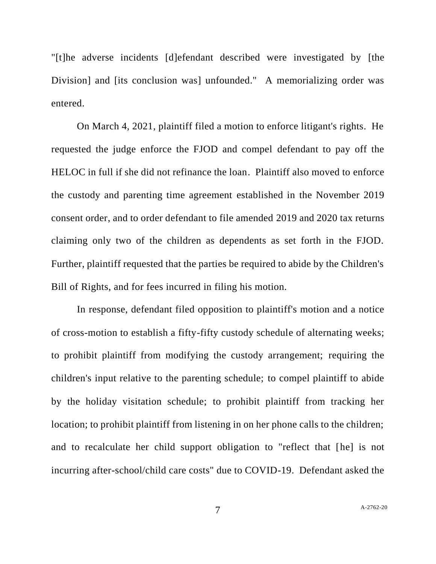"[t]he adverse incidents [d]efendant described were investigated by [the Division] and [its conclusion was] unfounded." A memorializing order was entered.

On March 4, 2021, plaintiff filed a motion to enforce litigant's rights. He requested the judge enforce the FJOD and compel defendant to pay off the HELOC in full if she did not refinance the loan. Plaintiff also moved to enforce the custody and parenting time agreement established in the November 2019 consent order, and to order defendant to file amended 2019 and 2020 tax returns claiming only two of the children as dependents as set forth in the FJOD. Further, plaintiff requested that the parties be required to abide by the Children's Bill of Rights, and for fees incurred in filing his motion.

In response, defendant filed opposition to plaintiff's motion and a notice of cross-motion to establish a fifty-fifty custody schedule of alternating weeks; to prohibit plaintiff from modifying the custody arrangement; requiring the children's input relative to the parenting schedule; to compel plaintiff to abide by the holiday visitation schedule; to prohibit plaintiff from tracking her location; to prohibit plaintiff from listening in on her phone calls to the children; and to recalculate her child support obligation to "reflect that [he] is not incurring after-school/child care costs" due to COVID-19. Defendant asked the

7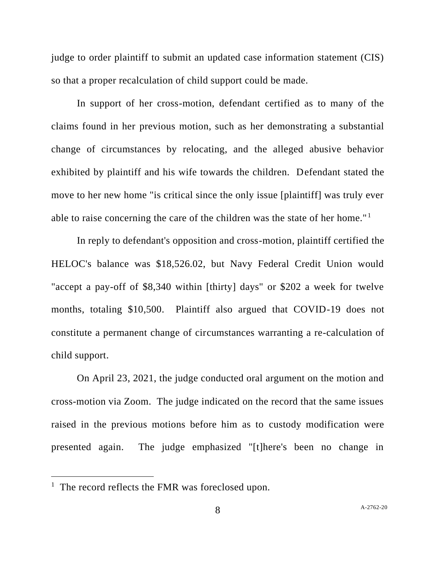judge to order plaintiff to submit an updated case information statement (CIS) so that a proper recalculation of child support could be made.

In support of her cross-motion, defendant certified as to many of the claims found in her previous motion, such as her demonstrating a substantial change of circumstances by relocating, and the alleged abusive behavior exhibited by plaintiff and his wife towards the children. Defendant stated the move to her new home "is critical since the only issue [plaintiff] was truly ever able to raise concerning the care of the children was the state of her home." <sup>1</sup>

In reply to defendant's opposition and cross-motion, plaintiff certified the HELOC's balance was \$18,526.02, but Navy Federal Credit Union would "accept a pay-off of \$8,340 within [thirty] days" or \$202 a week for twelve months, totaling \$10,500. Plaintiff also argued that COVID-19 does not constitute a permanent change of circumstances warranting a re-calculation of child support.

On April 23, 2021, the judge conducted oral argument on the motion and cross-motion via Zoom. The judge indicated on the record that the same issues raised in the previous motions before him as to custody modification were presented again. The judge emphasized "[t]here's been no change in

<sup>&</sup>lt;sup>1</sup> The record reflects the FMR was foreclosed upon.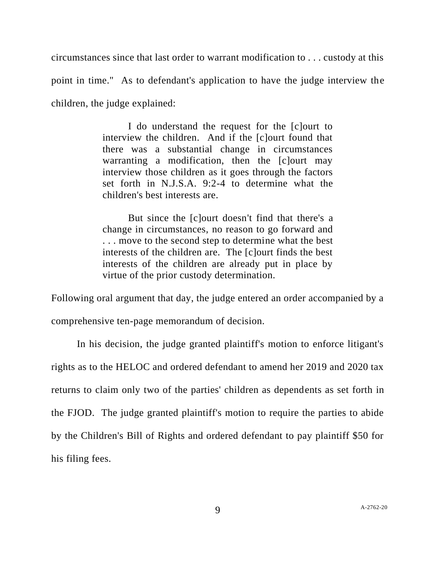circumstances since that last order to warrant modification to . . . custody at this point in time." As to defendant's application to have the judge interview the children, the judge explained:

> I do understand the request for the [c]ourt to interview the children. And if the [c]ourt found that there was a substantial change in circumstances warranting a modification, then the [c]ourt may interview those children as it goes through the factors set forth in N.J.S.A. 9:2-4 to determine what the children's best interests are.

> But since the [c]ourt doesn't find that there's a change in circumstances, no reason to go forward and . . . move to the second step to determine what the best interests of the children are. The [c]ourt finds the best interests of the children are already put in place by virtue of the prior custody determination.

Following oral argument that day, the judge entered an order accompanied by a comprehensive ten-page memorandum of decision.

In his decision, the judge granted plaintiff's motion to enforce litigant's rights as to the HELOC and ordered defendant to amend her 2019 and 2020 tax returns to claim only two of the parties' children as dependents as set forth in the FJOD. The judge granted plaintiff's motion to require the parties to abide by the Children's Bill of Rights and ordered defendant to pay plaintiff \$50 for his filing fees.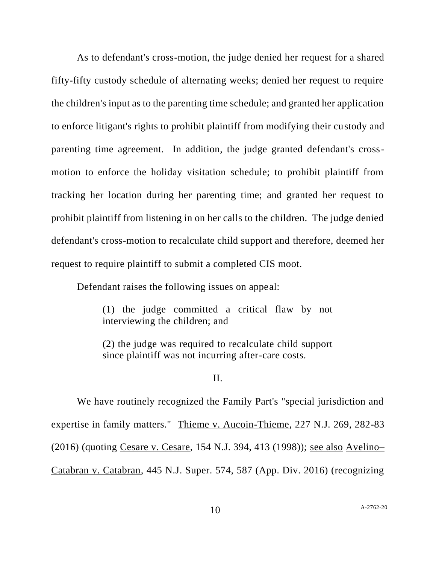As to defendant's cross-motion, the judge denied her request for a shared fifty-fifty custody schedule of alternating weeks; denied her request to require the children's input as to the parenting time schedule; and granted her application to enforce litigant's rights to prohibit plaintiff from modifying their custody and parenting time agreement. In addition, the judge granted defendant's crossmotion to enforce the holiday visitation schedule; to prohibit plaintiff from tracking her location during her parenting time; and granted her request to prohibit plaintiff from listening in on her calls to the children. The judge denied defendant's cross-motion to recalculate child support and therefore, deemed her request to require plaintiff to submit a completed CIS moot.

Defendant raises the following issues on appeal:

(1) the judge committed a critical flaw by not interviewing the children; and

(2) the judge was required to recalculate child support since plaintiff was not incurring after-care costs.

II.

We have routinely recognized the Family Part's "special jurisdiction and expertise in family matters." Thieme v. Aucoin-Thieme, 227 N.J. 269, 282-83 (2016) (quoting Cesare v. Cesare, 154 N.J. 394, 413 (1998)); see also Avelino– Catabran v. Catabran, 445 N.J. Super. 574, 587 (App. Div. 2016) (recognizing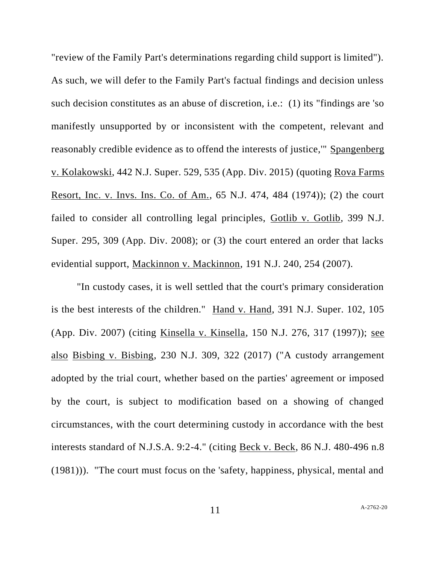"review of the Family Part's determinations regarding child support is limited"). As such, we will defer to the Family Part's factual findings and decision unless such decision constitutes as an abuse of discretion, i.e.: (1) its "findings are 'so manifestly unsupported by or inconsistent with the competent, relevant and reasonably credible evidence as to offend the interests of justice,'" Spangenberg v. Kolakowski, 442 N.J. Super. 529, 535 (App. Div. 2015) (quoting Rova Farms Resort, Inc. v. Invs. Ins. Co. of Am., 65 N.J. 474, 484 (1974)); (2) the court failed to consider all controlling legal principles, Gotlib v. Gotlib, 399 N.J. Super. 295, 309 (App. Div. 2008); or (3) the court entered an order that lacks evidential support, Mackinnon v. Mackinnon, 191 N.J. 240, 254 (2007).

"In custody cases, it is well settled that the court's primary consideration is the best interests of the children." Hand v. Hand, 391 N.J. Super. 102, 105 (App. Div. 2007) (citing Kinsella v. Kinsella, 150 N.J. 276, 317 (1997)); see also Bisbing v. Bisbing, 230 N.J. 309, 322 (2017) ("A custody arrangement adopted by the trial court, whether based on the parties' agreement or imposed by the court, is subject to modification based on a showing of changed circumstances, with the court determining custody in accordance with the best interests standard of N.J.S.A. 9:2-4." (citing Beck v. Beck, 86 N.J. 480-496 n.8 (1981))). "The court must focus on the 'safety, happiness, physical, mental and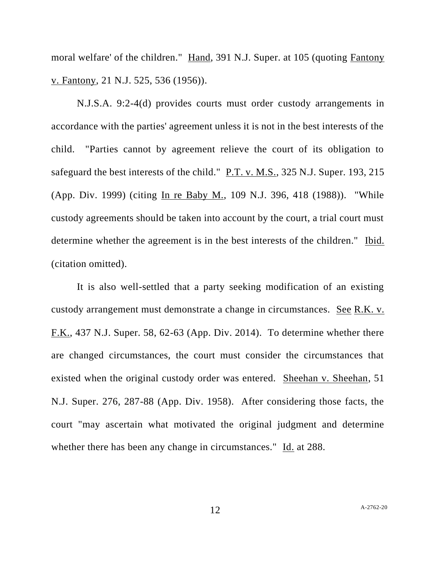moral welfare' of the children." Hand, 391 N.J. Super. at 105 (quoting Fantony v. Fantony, 21 N.J. 525, 536 (1956)).

N.J.S.A. 9:2-4(d) provides courts must order custody arrangements in accordance with the parties' agreement unless it is not in the best interests of the child. "Parties cannot by agreement relieve the court of its obligation to safeguard the best interests of the child." P.T. v. M.S., 325 N.J. Super. 193, 215 (App. Div. 1999) (citing In re Baby M., 109 N.J. 396, 418 (1988)). "While custody agreements should be taken into account by the court, a trial court must determine whether the agreement is in the best interests of the children." Ibid. (citation omitted).

It is also well-settled that a party seeking modification of an existing custody arrangement must demonstrate a change in circumstances. See R.K. v. F.K., 437 N.J. Super. 58, 62-63 (App. Div. 2014). To determine whether there are changed circumstances, the court must consider the circumstances that existed when the original custody order was entered. Sheehan v. Sheehan, 51 N.J. Super. 276, 287-88 (App. Div. 1958). After considering those facts, the court "may ascertain what motivated the original judgment and determine whether there has been any change in circumstances." Id. at 288.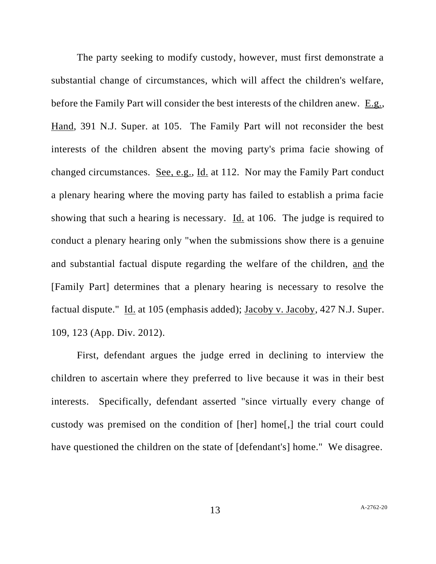The party seeking to modify custody, however, must first demonstrate a substantial change of circumstances, which will affect the children's welfare, before the Family Part will consider the best interests of the children anew. E.g., Hand, 391 N.J. Super. at 105. The Family Part will not reconsider the best interests of the children absent the moving party's prima facie showing of changed circumstances. See, e.g., Id. at 112. Nor may the Family Part conduct a plenary hearing where the moving party has failed to establish a prima facie showing that such a hearing is necessary. Id. at 106. The judge is required to conduct a plenary hearing only "when the submissions show there is a genuine and substantial factual dispute regarding the welfare of the children, and the [Family Part] determines that a plenary hearing is necessary to resolve the factual dispute." Id. at 105 (emphasis added); Jacoby v. Jacoby, 427 N.J. Super. 109, 123 (App. Div. 2012).

First, defendant argues the judge erred in declining to interview the children to ascertain where they preferred to live because it was in their best interests. Specifically, defendant asserted "since virtually every change of custody was premised on the condition of [her] home[,] the trial court could have questioned the children on the state of [defendant's] home." We disagree.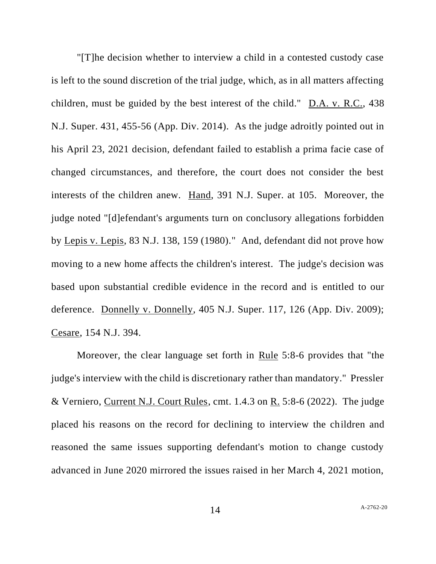"[T]he decision whether to interview a child in a contested custody case is left to the sound discretion of the trial judge, which, as in all matters affecting children, must be guided by the best interest of the child." D.A. v. R.C., 438 N.J. Super. 431, 455-56 (App. Div. 2014). As the judge adroitly pointed out in his April 23, 2021 decision, defendant failed to establish a prima facie case of changed circumstances, and therefore, the court does not consider the best interests of the children anew. Hand, 391 N.J. Super. at 105. Moreover, the judge noted "[d]efendant's arguments turn on conclusory allegations forbidden by Lepis v. Lepis, 83 N.J. 138, 159 (1980)." And, defendant did not prove how moving to a new home affects the children's interest. The judge's decision was based upon substantial credible evidence in the record and is entitled to our deference. Donnelly v. Donnelly, 405 N.J. Super. 117, 126 (App. Div. 2009); Cesare, 154 N.J. 394.

Moreover, the clear language set forth in Rule 5:8-6 provides that "the judge's interview with the child is discretionary rather than mandatory." Pressler & Verniero, Current N.J. Court Rules, cmt. 1.4.3 on R. 5:8-6 (2022). The judge placed his reasons on the record for declining to interview the children and reasoned the same issues supporting defendant's motion to change custody advanced in June 2020 mirrored the issues raised in her March 4, 2021 motion,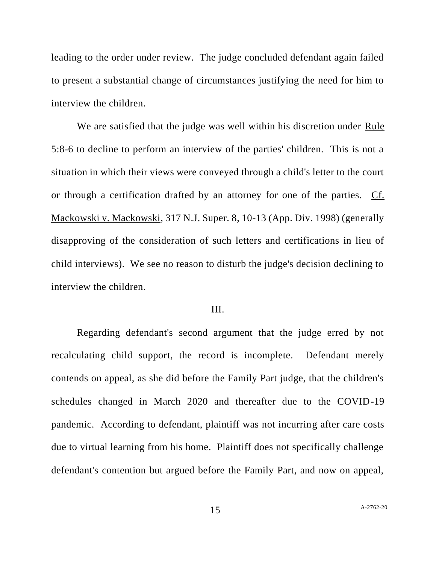leading to the order under review. The judge concluded defendant again failed to present a substantial change of circumstances justifying the need for him to interview the children.

We are satisfied that the judge was well within his discretion under Rule 5:8-6 to decline to perform an interview of the parties' children. This is not a situation in which their views were conveyed through a child's letter to the court or through a certification drafted by an attorney for one of the parties. Cf. Mackowski v. Mackowski, 317 N.J. Super. 8, 10-13 (App. Div. 1998) (generally disapproving of the consideration of such letters and certifications in lieu of child interviews). We see no reason to disturb the judge's decision declining to interview the children.

## III.

Regarding defendant's second argument that the judge erred by not recalculating child support, the record is incomplete. Defendant merely contends on appeal, as she did before the Family Part judge, that the children's schedules changed in March 2020 and thereafter due to the COVID-19 pandemic. According to defendant, plaintiff was not incurring after care costs due to virtual learning from his home. Plaintiff does not specifically challenge defendant's contention but argued before the Family Part, and now on appeal,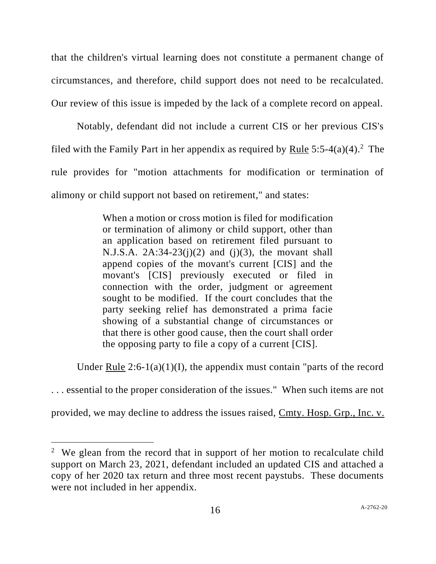that the children's virtual learning does not constitute a permanent change of circumstances, and therefore, child support does not need to be recalculated. Our review of this issue is impeded by the lack of a complete record on appeal.

Notably, defendant did not include a current CIS or her previous CIS's filed with the Family Part in her appendix as required by Rule  $5:5-4(a)(4)$ .<sup>2</sup> The rule provides for "motion attachments for modification or termination of alimony or child support not based on retirement," and states:

> When a motion or cross motion is filed for modification or termination of alimony or child support, other than an application based on retirement filed pursuant to N.J.S.A.  $2A:34-23(j)(2)$  and  $(j)(3)$ , the movant shall append copies of the movant's current [CIS] and the movant's [CIS] previously executed or filed in connection with the order, judgment or agreement sought to be modified. If the court concludes that the party seeking relief has demonstrated a prima facie showing of a substantial change of circumstances or that there is other good cause, then the court shall order the opposing party to file a copy of a current [CIS].

Under Rule  $2:6-1(a)(1)(I)$ , the appendix must contain "parts of the record

. . . essential to the proper consideration of the issues." When such items are not

provided, we may decline to address the issues raised, Cmty. Hosp. Grp., Inc. v.

<sup>&</sup>lt;sup>2</sup> We glean from the record that in support of her motion to recalculate child support on March 23, 2021, defendant included an updated CIS and attached a copy of her 2020 tax return and three most recent paystubs. These documents were not included in her appendix.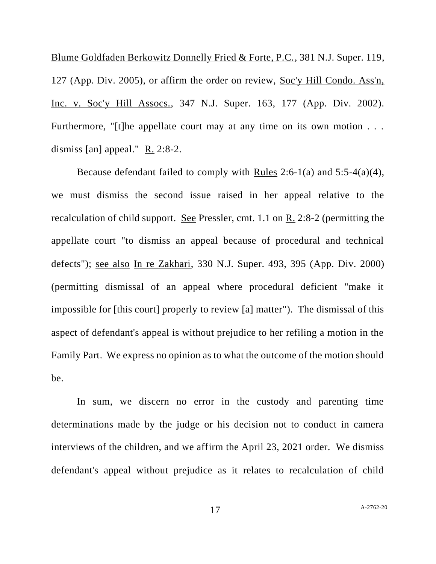Blume Goldfaden Berkowitz Donnelly Fried & Forte, P.C., 381 N.J. Super. 119, 127 (App. Div. 2005), or affirm the order on review, Soc'y Hill Condo. Ass'n, Inc. v. Soc'y Hill Assocs., 347 N.J. Super. 163, 177 (App. Div. 2002). Furthermore, "[t]he appellate court may at any time on its own motion . . . dismiss [an] appeal." R. 2:8-2.

Because defendant failed to comply with Rules 2:6-1(a) and 5:5-4(a)(4), we must dismiss the second issue raised in her appeal relative to the recalculation of child support. See Pressler, cmt. 1.1 on R. 2:8-2 (permitting the appellate court "to dismiss an appeal because of procedural and technical defects"); see also In re Zakhari, 330 N.J. Super. 493, 395 (App. Div. 2000) (permitting dismissal of an appeal where procedural deficient "make it impossible for [this court] properly to review [a] matter"). The dismissal of this aspect of defendant's appeal is without prejudice to her refiling a motion in the Family Part. We express no opinion as to what the outcome of the motion should be.

In sum, we discern no error in the custody and parenting time determinations made by the judge or his decision not to conduct in camera interviews of the children, and we affirm the April 23, 2021 order. We dismiss defendant's appeal without prejudice as it relates to recalculation of child